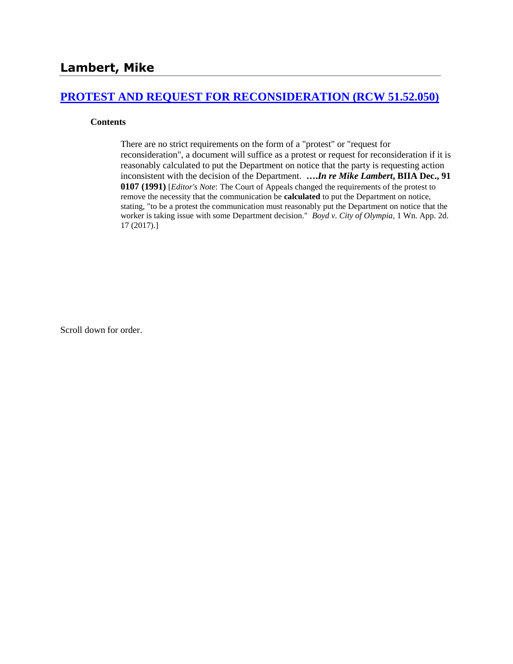### **[PROTEST AND REQUEST FOR RECONSIDERATION \(RCW 51.52.050\)](http://www.biia.wa.gov/SDSubjectIndex.html#PROTEST_AND_REQUEST_FOR_RECONSIDERATION)**

#### **Contents**

There are no strict requirements on the form of a "protest" or "request for reconsideration", a document will suffice as a protest or request for reconsideration if it is reasonably calculated to put the Department on notice that the party is requesting action inconsistent with the decision of the Department. **….***In re Mike Lambert***, BIIA Dec., 91 0107 (1991)** [*Editor's Note*: The Court of Appeals changed the requirements of the protest to remove the necessity that the communication be **calculated** to put the Department on notice, stating, "to be a protest the communication must reasonably put the Department on notice that the worker is taking issue with some Department decision." *Boyd v. City of Olympia,* 1 Wn. App. 2d. 17 (2017).]

Scroll down for order.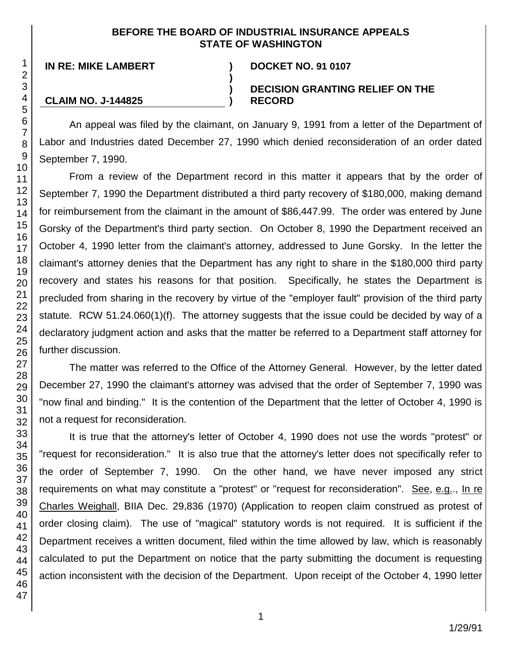### **BEFORE THE BOARD OF INDUSTRIAL INSURANCE APPEALS STATE OF WASHINGTON**

**)**

**) )**

# **IN RE: MIKE LAMBERT ) DOCKET NO. 91 0107**

## **DECISION GRANTING RELIEF ON THE RECORD**

**CLAIM NO. J-144825**

An appeal was filed by the claimant, on January 9, 1991 from a letter of the Department of Labor and Industries dated December 27, 1990 which denied reconsideration of an order dated September 7, 1990.

From a review of the Department record in this matter it appears that by the order of September 7, 1990 the Department distributed a third party recovery of \$180,000, making demand for reimbursement from the claimant in the amount of \$86,447.99. The order was entered by June Gorsky of the Department's third party section. On October 8, 1990 the Department received an October 4, 1990 letter from the claimant's attorney, addressed to June Gorsky. In the letter the claimant's attorney denies that the Department has any right to share in the \$180,000 third party recovery and states his reasons for that position. Specifically, he states the Department is precluded from sharing in the recovery by virtue of the "employer fault" provision of the third party statute. RCW 51.24.060(1)(f). The attorney suggests that the issue could be decided by way of a declaratory judgment action and asks that the matter be referred to a Department staff attorney for further discussion.

The matter was referred to the Office of the Attorney General. However, by the letter dated December 27, 1990 the claimant's attorney was advised that the order of September 7, 1990 was "now final and binding." It is the contention of the Department that the letter of October 4, 1990 is not a request for reconsideration.

It is true that the attorney's letter of October 4, 1990 does not use the words "protest" or "request for reconsideration." It is also true that the attorney's letter does not specifically refer to the order of September 7, 1990. On the other hand, we have never imposed any strict requirements on what may constitute a "protest" or "request for reconsideration". See, e.g.., In re Charles Weighall, BIIA Dec. 29,836 (1970) (Application to reopen claim construed as protest of order closing claim). The use of "magical" statutory words is not required. It is sufficient if the Department receives a written document, filed within the time allowed by law, which is reasonably calculated to put the Department on notice that the party submitting the document is requesting action inconsistent with the decision of the Department. Upon receipt of the October 4, 1990 letter